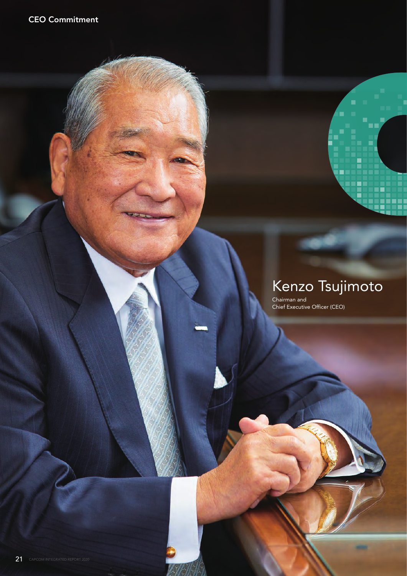# Kenzo Tsujimoto

-

CEO

Chairman and Chief Executive Officer (CEO)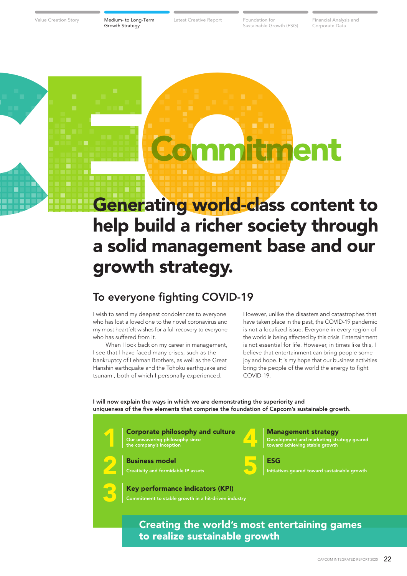Value Creation Story **Medium- to Long-Term** Latest Creative Report Foundation for

Sustainable Growth (ESG)

Latest Creative Report Foundation for Financial Analysis and Corporate Data

# **Commitment**<br> **Commitment**<br> **Commitment**<br> **Commitment**<br> **Commitment**<br> **Commitment**<br> **Commitment**<br> **Commitment**<br> **Commitment**<br> **Commitment**<br> **Commitment**<br> **Commitment**<br> **Commitment**<br> **Commitment**<br> **Commitment**<br> **Commitment** Generating world-class content to help build a richer society through a solid management base and our growth strategy.

# To everyone fighting COVID-19

I wish to send my deepest condolences to everyone who has lost a loved one to the novel coronavirus and my most heartfelt wishes for a full recovery to everyone who has suffered from it.

 When I look back on my career in management, I see that I have faced many crises, such as the bankruptcy of Lehman Brothers, as well as the Great Hanshin earthquake and the Tohoku earthquake and tsunami, both of which I personally experienced.

However, unlike the disasters and catastrophes that have taken place in the past, the COVID-19 pandemic is not a localized issue. Everyone in every region of the world is being affected by this crisis. Entertainment is not essential for life. However, in times like this, I believe that entertainment can bring people some joy and hope. It is my hope that our business activities bring the people of the world the energy to fight  $COMID-19$ 

I will now explain the ways in which we are demonstrating the superiority and uniqueness of the five elements that comprise the foundation of Capcom's sustainable growth.



Creating the world's most entertaining games to realize sustainable growth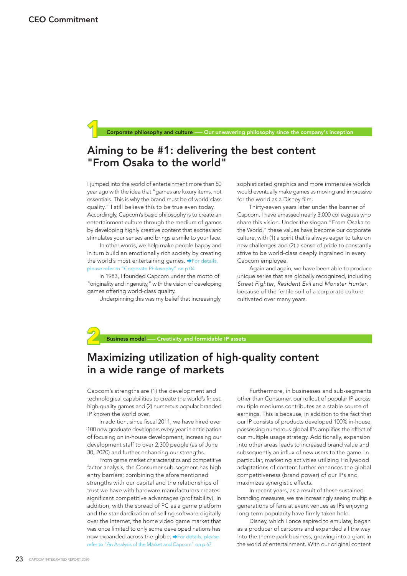Corporate philosophy and culture —– Our unwavering philosophy since the company's inception

# Aiming to be #1: delivering the best content "From Osaka to the world"

I jumped into the world of entertainment more than 50 year ago with the idea that "games are luxury items, not essentials. This is why the brand must be of world-class quality." I still believe this to be true even today. Accordingly, Capcom's basic philosophy is to create an entertainment culture through the medium of games by developing highly creative content that excites and stimulates your senses and brings a smile to your face.

 In other words, we help make people happy and in turn build an emotionally rich society by creating the world's most entertaining games.  $\rightarrow$  For details, please refer to "Corporate Philosophy" on p.04

 In 1983, I founded Capcom under the motto of "originality and ingenuity," with the vision of developing games offering world-class quality.

Underpinning this was my belief that increasingly

sophisticated graphics and more immersive worlds would eventually make games as moving and impressive for the world as a Disney film.

 Thirty-seven years later under the banner of Capcom, I have amassed nearly 3,000 colleagues who share this vision. Under the slogan "From Osaka to the World," these values have become our corporate culture, with (1) a spirit that is always eager to take on new challenges and (2) a sense of pride to constantly strive to be world-class deeply ingrained in every Capcom employee.

 Again and again, we have been able to produce unique series that are globally recognized, including *Street Fighter*, *Resident Evil* and *Monster Hunter*, because of the fertile soil of a corporate culture cultivated over many years.



# Maximizing utilization of high-quality content in a wide range of markets

Capcom's strengths are (1) the development and technological capabilities to create the world's finest, high-quality games and (2) numerous popular branded IP known the world over.

 In addition, since fiscal 2011, we have hired over 100 new graduate developers every year in anticipation of focusing on in-house development, increasing our development staff to over 2,300 people (as of June 30, 2020) and further enhancing our strengths.

 From game market characteristics and competitive factor analysis, the Consumer sub-segment has high entry barriers; combining the aforementioned strengths with our capital and the relationships of trust we have with hardware manufacturers creates significant competitive advantages (profitability). In addition, with the spread of PC as a game platform and the standardization of selling software digitally over the Internet, the home video game market that was once limited to only some developed nations has now expanded across the globe.  $\rightarrow$  For details, please refer to "An Analysis of the Market and Capcom" on p.67

 Furthermore, in businesses and sub-segments other than Consumer, our rollout of popular IP across multiple mediums contributes as a stable source of earnings. This is because, in addition to the fact that our IP consists of products developed 100% in-house, possessing numerous global IPs amplifies the effect of our multiple usage strategy. Additionally, expansion into other areas leads to increased brand value and subsequently an influx of new users to the game. In particular, marketing activities utilizing Hollywood adaptations of content further enhances the global competitiveness (brand power) of our IPs and maximizes synergistic effects.

 In recent years, as a result of these sustained branding measures, we are increasingly seeing multiple generations of fans at event venues as IPs enjoying long-term popularity have firmly taken hold.

 Disney, which I once aspired to emulate, began as a producer of cartoons and expanded all the way into the theme park business, growing into a giant in the world of entertainment. With our original content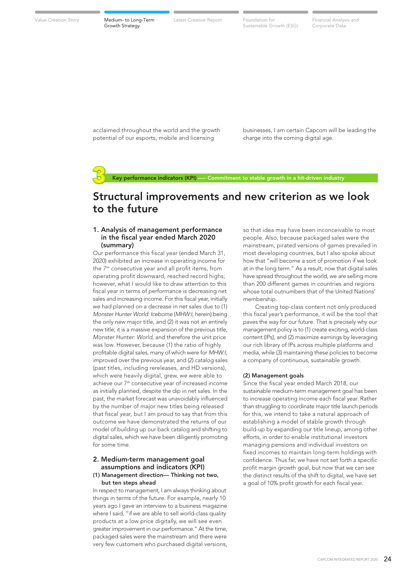Value Creation Story **Medium- to Long-Term** Latest Creative Report Foundation for

Latest Creative Report Foundation for Financial Analysis and Sustainable Growth (ESG)

Corporate Data

acclaimed throughout the world and the growth potential of our esports, mobile and licensing

businesses, I am certain Capcom will be leading the charge into the coming digital age.

Key performance indicators (KPI) –– Commitment to stable growth in a hit-driven industry

# Structural improvements and new criterion as we look to the future

# 1. Analysis of management performance in the fiscal year ended March 2020 (summary)

Our performance this fiscal year (ended March 31, 2020) exhibited an increase in operating income for the 7th consecutive year and all profit items, from operating profit downward, reached record highs; however, what I would like to draw attention to this fiscal year in terms of performance is decreasing net sales and increasing income. For this fiscal year, initially we had planned on a decrease in net sales due to (1) *Monster Hunter World: Iceborne* (*MHW:I*, herein) being the only new major title, and (2) it was not an entirely new title; it is a massive expansion of the previous title, *Monster Hunter: World*, and therefore the unit price was low. However, because (1) the ratio of highly profitable digital sales, many of which were for *MHW:I*, improved over the previous year, and (2) catalog sales (past titles, including rereleases, and HD versions), which were heavily digital, grew, we were able to achieve our 7<sup>th</sup> consecutive year of increased income as initially planned, despite the dip in net sales. In the past, the market forecast was unavoidably influenced by the number of major new titles being released that fiscal year, but I am proud to say that from this outcome we have demonstrated the returns of our model of building up our back catalog and shifting to digital sales, which we have been diligently promoting for some time.

# 2. Medium-term management goal assumptions and indicators (KPI)

# (1) Management direction— Thinking not two, but ten steps ahead

In respect to management, I am always thinking about things in terms of the future. For example, nearly 10 years ago I gave an interview to a business magazine where I said, "if we are able to sell world-class quality products at a low price digitally, we will see even greater improvement in our performance." At the time, packaged sales were the mainstream and there were very few customers who purchased digital versions, so that idea may have been inconceivable to most people. Also, because packaged sales were the mainstream, pirated versions of games prevailed in most developing countries, but I also spoke about how that "will become a sort of promotion if we look at in the long term." As a result, now that digital sales have spread throughout the world, we are selling more than 200 different games in countries and regions whose total outnumbers that of the United Nations' membership.

 Creating top-class content not only produced this fiscal year's performance, it will be the tool that paves the way for our future. That is precisely why our management policy is to (1) create exciting, world-class content (IPs), and (2) maximize earnings by leveraging our rich library of IPs across multiple platforms and media, while (3) maintaining these policies to become a company of continuous, sustainable growth.

### (2) Management goals

Since the fiscal year ended March 2018, our sustainable medium-term management goal has been to increase operating income each fiscal year. Rather than struggling to coordinate major title launch periods for this, we intend to take a natural approach of establishing a model of stable growth through build-up by expanding our title lineup, among other efforts, in order to enable institutional investors managing pensions and individual investors on fixed incomes to maintain long-term holdings with confidence. Thus far, we have not set forth a specific profit margin growth goal, but now that we can see the distinct results of the shift to digital, we have set a goal of 10% profit growth for each fiscal year.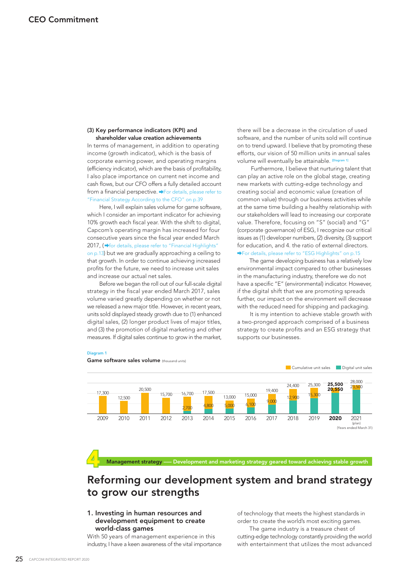# (3) Key performance indicators (KPI) and shareholder value creation achievements

In terms of management, in addition to operating income (growth indicator), which is the basis of corporate earning power, and operating margins (efficiency indicator), which are the basis of profitability, I also place importance on current net income and cash flows, but our CFO offers a fully detailed account from a financial perspective.  $\rightarrow$  For details, please refer to "Financial Strategy According to the CFO" on p.39

 Here, I will explain sales volume for game software, which I consider an important indicator for achieving 10% growth each fiscal year. With the shift to digital, Capcom's operating margin has increased for four consecutive years since the fiscal year ended March 2017, ( $\rightarrow$  for details, please refer to "Financial Highlights" on p.13) but we are gradually approaching a ceiling to that growth. In order to continue achieving increased profits for the future, we need to increase unit sales and increase our actual net sales.

 Before we began the roll out of our full-scale digital strategy in the fiscal year ended March 2017, sales volume varied greatly depending on whether or not we released a new major title. However, in recent years, units sold displayed steady growth due to (1) enhanced digital sales, (2) longer product lives of major titles, and (3) the promotion of digital marketing and other measures. If digital sales continue to grow in the market, there will be a decrease in the circulation of used software, and the number of units sold will continue on to trend upward. I believe that by promoting these efforts, our vision of 50 million units in annual sales volume will eventually be attainable. <sup>Di</sup>

 Furthermore, I believe that nurturing talent that can play an active role on the global stage, creating new markets with cutting-edge technology and creating social and economic value (creation of common value) through our business activities while at the same time building a healthy relationship with our stakeholders will lead to increasing our corporate value. Therefore, focusing on "S" (social) and "G" (corporate governance) of ESG, I recognize our critical issues as (1) developer numbers, (2) diversity, (3) support for education, and 4. the ratio of external directors. For details, please refer to "ESG Highlights" on p.15

 The game developing business has a relatively low environmental impact compared to other businesses in the manufacturing industry, therefore we do not have a specific "E" (environmental) indicator. However, if the digital shift that we are promoting spreads further, our impact on the environment will decrease with the reduced need for shipping and packaging.

 It is my intention to achieve stable growth with a two-pronged approach comprised of a business strategy to create profits and an ESG strategy that supports our businesses.

### Diagram 1



Management strategy —– Development and marketing strategy geared toward achieving stable growth

# Reforming our development system and brand strategy to grow our strengths

# 1. Investing in human resources and development equipment to create world-class games

With 50 years of management experience in this industry, I have a keen awareness of the vital importance of technology that meets the highest standards in order to create the world's most exciting games. The game industry is a treasure chest of cutting-edge technology constantly providing the world with entertainment that utilizes the most advanced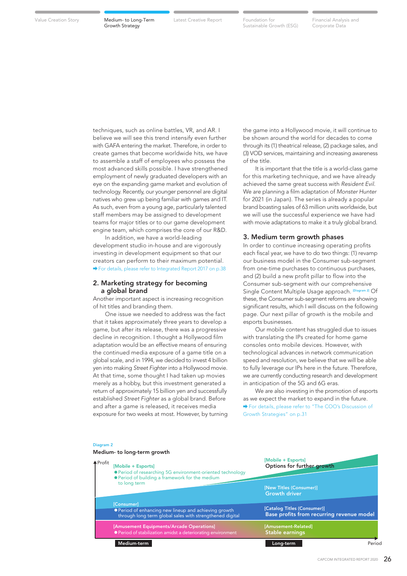Value Creation Story **Medium- to Long-Term** Latest Creative Report Foundation for

Sustainable Growth (ESG)

Latest Creative Report Foundation for Financial Analysis and Corporate Data

techniques, such as online battles, VR, and AR. I believe we will see this trend intensify even further with GAFA entering the market. Therefore, in order to create games that become worldwide hits, we have to assemble a staff of employees who possess the most advanced skills possible. I have strengthened employment of newly graduated developers with an eye on the expanding game market and evolution of technology. Recently, our younger personnel are digital natives who grew up being familiar with games and IT. As such, even from a young age, particularly talented staff members may be assigned to development teams for major titles or to our game development engine team, which comprises the core of our R&D.

 In addition, we have a world-leading development studio in-house and are vigorously investing in development equipment so that our creators can perform to their maximum potential. For details, please refer to Integrated Report 2017 on p.38

# 2. Marketing strategy for becoming a global brand

Another important aspect is increasing recognition of hit titles and branding them.

 One issue we needed to address was the fact that it takes approximately three years to develop a game, but after its release, there was a progressive decline in recognition. I thought a Hollywood film adaptation would be an effective means of ensuring the continued media exposure of a game title on a global scale, and in 1994, we decided to invest 4 billion yen into making *Street Fighter* into a Hollywood movie. At that time, some thought I had taken up movies merely as a hobby, but this investment generated a return of approximately 15 billion yen and successfully established *Street Fighter* as a global brand. Before and after a game is released, it receives media exposure for two weeks at most. However, by turning the game into a Hollywood movie, it will continue to be shown around the world for decades to come through its (1) theatrical release, (2) package sales, and (3) VOD services, maintaining and increasing awareness of the title.

 It is important that the title is a world-class game for this marketing technique, and we have already achieved the same great success with *Resident Evil*. We are planning a film adaptation of *Monster Hunter* for 2021 (in Japan). The series is already a popular brand boasting sales of 63 million units worldwide, but we will use the successful experience we have had with movie adaptations to make it a truly global brand.

# 3. Medium term growth phases

In order to continue increasing operating profits each fiscal year, we have to do two things: (1) revamp our business model in the Consumer sub-segment from one-time purchases to continuous purchases, and (2) build a new profit pillar to flow into the Consumer sub-segment with our comprehensive Single Content Multiple Usage approach. [Diagram 2] Of these, the Consumer sub-segment reforms are showing significant results, which I will discuss on the following page. Our next pillar of growth is the mobile and esports businesses.

 Our mobile content has struggled due to issues with translating the IPs created for home game consoles onto mobile devices. However, with technological advances in network communication speed and resolution, we believe that we will be able to fully leverage our IPs here in the future. Therefore, we are currently conducting research and development in anticipation of the 5G and 6G eras.

 We are also investing in the promotion of esports as we expect the market to expand in the future. For details, please refer to "The COO's Discussion of Growth Strategies" on p.31

### Diagram 2

Medium- to long-term growth

| <b>↑</b> Profit | [Mobile + Esports]<br>● Period of researching 5G environment-oriented technology<br>● Period of building a framework for the medium<br>to long term | [Mobile + Esports]<br>Options for further growth                         |  |  |  |
|-----------------|-----------------------------------------------------------------------------------------------------------------------------------------------------|--------------------------------------------------------------------------|--|--|--|
|                 |                                                                                                                                                     | [New Titles (Consumer)]<br><b>Growth driver</b>                          |  |  |  |
|                 | [Consumer]<br>● Period of enhancing new lineup and achieving growth<br>through long term global sales with strengthened digital                     | [Catalog Titles (Consumer)]<br>Base profits from recurring revenue model |  |  |  |
|                 | [Amusement Equipments/Arcade Operations]<br>● Period of stabilization amidst a deteriorating environment                                            | [Amusement-Related]<br><b>Stable earnings</b>                            |  |  |  |
|                 | Medium-term                                                                                                                                         | Period<br>Long-term                                                      |  |  |  |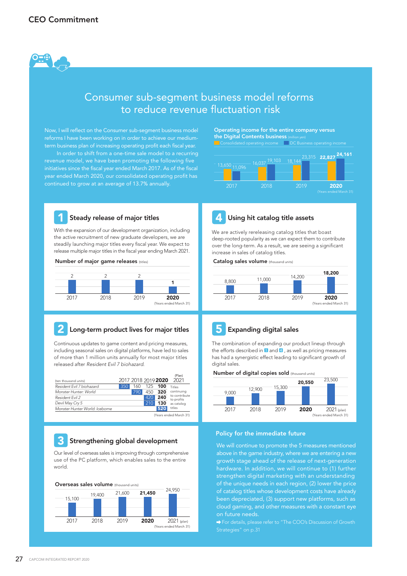

# Consumer sub-segment business model reforms to reduce revenue fluctuation risk

Now, I will reflect on the Consumer sub-segment business model reforms I have been working on in order to achieve our mediumterm business plan of increasing operating profit each fiscal year.

 In order to shift from a one-time sale model to a recurring revenue model, we have been promoting the following five initiatives since the fiscal year ended March 2017. As of the fiscal year ended March 2020, our consolidated operating profit has continued to grow at an average of 13.7% annually.

Operating income for the entire company versus the Digital Contents business





# Steady release of major titles

With the expansion of our development organization, including the active recruitment of new graduate developers, we are steadily launching major titles every fiscal year. We expect to release multiple major titles in the fiscal year ending March 2021.

### Number of major game releases (titles)



# Long-term product lives for major titles

Continuous updates to game content and pricing measures, including seasonal sales on digital platforms, have led to sales of more than 1 million units annually for most major titles released after *Resident Evil 7 biohazard*.

|                                |     |     |     |                     | (Plan)                      |  |
|--------------------------------|-----|-----|-----|---------------------|-----------------------------|--|
| (ten thousand units)           |     |     |     | 2017 2018 2019 2020 | 2021                        |  |
| Resident Fvil 7 biohazard      | 350 | 160 | 125 | 100                 | Titles                      |  |
| Monster Hunter: World          |     | 790 | 450 | 320                 | continuing                  |  |
| Resident Fvil 2                |     |     | 420 | 240                 | to contribute<br>to profits |  |
| Devil May Cry 5                |     |     | 210 | 130                 | as catalog                  |  |
| Monster Hunter World: Iceborne |     |     |     | 520                 | titles                      |  |
| (Years ended March 31)         |     |     |     |                     |                             |  |

# **3** Strengthening global development

Our level of overseas sales is improving through comprehensive use of the PC platform, which enables sales to the entire world.





# We are actively rereleasing catalog titles that boast

deep-rooted popularity as we can expect them to contribute over the long-term. As a result, we are seeing a significant increase in sales of catalog titles.

# Catalog sales volume (thousand units)





# **5** Expanding digital sales

The combination of expanding our product lineup through the efforts described in  $\blacksquare$  and  $\blacksquare$ , as well as pricing measures has had a synergistic effect leading to significant growth of digital sales.

### Number of digital copies sold (thousand units)



# Policy for the immediate future

We will continue to promote the 5 measures mentioned above in the game industry, where we are entering a new growth stage ahead of the release of next-generation hardware. In addition, we will continue to (1) further strengthen digital marketing with an understanding of the unique needs in each region, (2) lower the price of catalog titles whose development costs have already been depreciated, (3) support new platforms, such as cloud gaming, and other measures with a constant eye on future needs.

→ For details, please refer to "The COO's Discussion of Growth Strategies" on p.31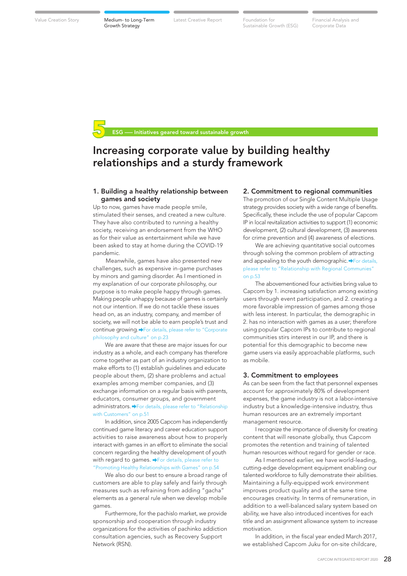Value Creation Story **Medium- to Long-Term** Latest Creative Report Foundation for Latest Creative Report Foundation for Financial Analysis and

Sustainable Growth (ESG)

Corporate Data

Initiatives geared toward sustainable growth

# Increasing corporate value by building healthy relationships and a sturdy framework

# 1. Building a healthy relationship between games and society

Up to now, games have made people smile, stimulated their senses, and created a new culture. They have also contributed to running a healthy society, receiving an endorsement from the WHO as for their value as entertainment while we have been asked to stay at home during the COVID-19 pandemic.

 Meanwhile, games have also presented new challenges, such as expensive in-game purchases by minors and gaming disorder. As I mentioned in my explanation of our corporate philosophy, our purpose is to make people happy through games. Making people unhappy because of games is certainly not our intention. If we do not tackle these issues head on, as an industry, company, and member of society, we will not be able to earn people's trust and continue growing. For details, please refer to "Corporate philosophy and culture" on p.23

 We are aware that these are major issues for our industry as a whole, and each company has therefore come together as part of an industry organization to make efforts to (1) establish guidelines and educate people about them, (2) share problems and actual examples among member companies, and (3) exchange information on a regular basis with parents, educators, consumer groups, and government administrators.  $\rightarrow$  For details, please refer to "Relationship with Customers" on p.51

 In addition, since 2005 Capcom has independently continued game literacy and career education support activities to raise awareness about how to properly interact with games in an effort to eliminate the social concern regarding the healthy development of youth with regard to games. For details, please refer to "Promoting Healthy Relationships with Games" on p.54

 We also do our best to ensure a broad range of customers are able to play safely and fairly through measures such as refraining from adding "gacha" elements as a general rule when we develop mobile games.

 Furthermore, for the pachislo market, we provide sponsorship and cooperation through industry organizations for the activities of pachinko addiction consultation agencies, such as Recovery Support Network (RSN).

# 2. Commitment to regional communities

The promotion of our Single Content Multiple Usage strategy provides society with a wide range of benefits. Specifically, these include the use of popular Capcom IP in local revitalization activities to support (1) economic development, (2) cultural development, (3) awareness for crime prevention and (4) awareness of elections.

 We are achieving quantitative social outcomes through solving the common problem of attracting and appealing to the youth demographic. PFor details, please refer to "Relationship with Regional Communies" on p.53

 The abovementioned four activities bring value to Capcom by 1. increasing satisfaction among existing users through event participation, and 2. creating a more favorable impression of games among those with less interest. In particular, the demographic in 2. has no interaction with games as a user; therefore using popular Capcom IPs to contribute to regional communities stirs interest in our IP, and there is potential for this demographic to become new game users via easily approachable platforms, such as mobile.

### 3. Commitment to employees

As can be seen from the fact that personnel expenses account for approximately 80% of development expenses, the game industry is not a labor-intensive industry but a knowledge-intensive industry, thus human resources are an extremely important management resource.

 I recognize the importance of diversity for creating content that will resonate globally, thus Capcom promotes the retention and training of talented human resources without regard for gender or race.

 As I mentioned earlier, we have world-leading, cutting-edge development equipment enabling our talented workforce to fully demonstrate their abilities. Maintaining a fully-equipped work environment improves product quality and at the same time encourages creativity. In terms of remuneration, in addition to a well-balanced salary system based on ability, we have also introduced incentives for each title and an assignment allowance system to increase motivation.

 In addition, in the fiscal year ended March 2017, we established Capcom Juku for on-site childcare,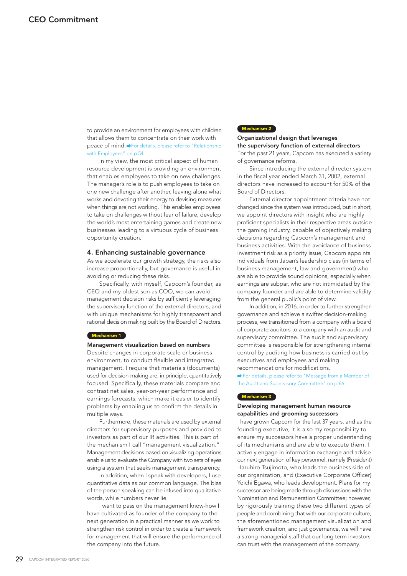to provide an environment for employees with children that allows them to concentrate on their work with peace of mind. For details, please refer to "Relationship" with Employees" on p.54

 In my view, the most critical aspect of human resource development is providing an environment that enables employees to take on new challenges. The manager's role is to push employees to take on one new challenge after another, leaving alone what works and devoting their energy to devising measures when things are not working. This enables employees to take on challenges without fear of failure, develop the world's most entertaining games and create new businesses leading to a virtuous cycle of business opportunity creation.

# 4. Enhancing sustainable governance

As we accelerate our growth strategy, the risks also increase proportionally, but governance is useful in avoiding or reducing these risks.

 Specifically, with myself, Capcom's founder, as CEO and my oldest son as COO, we can avoid management decision risks by sufficiently leveraging the supervisory function of the external directors, and with unique mechanisms for highly transparent and rational decision making built by the Board of Directors.

### Mechanism 1

### Management visualization based on numbers

Despite changes in corporate scale or business environment, to conduct flexible and integrated management, I require that materials (documents) used for decision-making are, in principle, quantitatively focused. Specifically, these materials compare and contrast net sales, year-on-year performance and earnings forecasts, which make it easier to identify problems by enabling us to confirm the details in multiple ways.

 Furthermore, these materials are used by external directors for supervisory purposes and provided to investors as part of our IR activities. This is part of the mechanism I call "management visualization." Management decisions based on visualizing operations enable us to evaluate the Company with two sets of eyes using a system that seeks management transparency.

 In addition, when I speak with developers, I use quantitative data as our common language. The bias of the person speaking can be infused into qualitative words, while numbers never lie.

 I want to pass on the management know-how I have cultivated as founder of the company to the next generation in a practical manner as we work to strengthen risk control in order to create a framework for management that will ensure the performance of the company into the future.

# Mechanism 2

# Organizational design that leverages the supervisory function of external directors For the past 21 years, Capcom has executed a variety

of governance reforms.

 Since introducing the external director system in the fiscal year ended March 31, 2002, external directors have increased to account for 50% of the Board of Directors.

 External director appointment criteria have not changed since the system was introduced, but in short, we appoint directors with insight who are highly proficient specialists in their respective areas outside the gaming industry, capable of objectively making decisions regarding Capcom's management and business activities. With the avoidance of business investment risk as a priority issue, Capcom appoints individuals from Japan's leadership class (in terms of business management, law and government) who are able to provide sound opinions, especially when earnings are subpar, who are not intimidated by the company founder and are able to determine validity from the general public's point of view.

 In addition, in 2016, in order to further strengthen governance and achieve a swifter decision-making process, we transitioned from a company with a board of corporate auditors to a company with an audit and supervisory committee. The audit and supervisory committee is responsible for strengthening internal control by auditing how business is carried out by executives and employees and making recommendations for modifications.

◆ For details, please refer to "Message from a Member of the Audit and Supervisory Committee" on p.66

### Mechanism 3

# Developing management human resource capabilities and grooming successors

I have grown Capcom for the last 37 years, and as the founding executive, it is also my responsibility to ensure my successors have a proper understanding of its mechanisms and are able to execute them. I actively engage in information exchange and advise our next generation of key personnel, namely (President) Haruhiro Tsujimoto, who leads the business side of our organization, and (Executive Corporate Officer) Yoichi Egawa, who leads development. Plans for my successor are being made through discussions with the Nomination and Remuneration Committee; however, by rigorously training these two different types of people and combining that with our corporate culture, the aforementioned management visualization and framework creation, and just governance, we will have a strong managerial staff that our long term investors can trust with the management of the company.